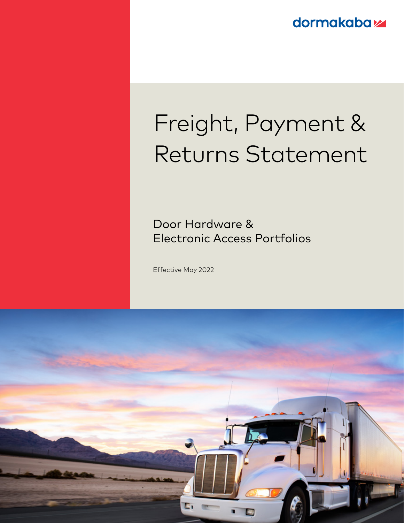**dormakabaz** 

# Freight, Payment & Returns Statement

Door Hardware & Electronic Access Portfolios

Effective May 2022

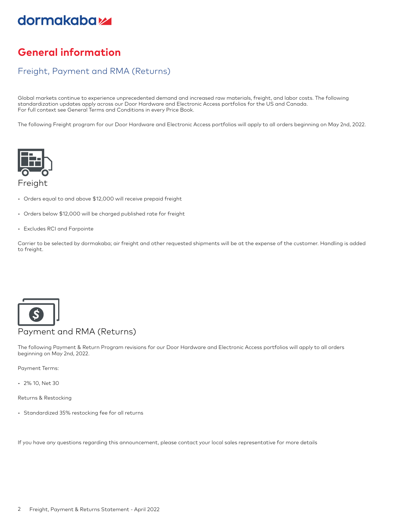## dormakaba<sub>z</sub>

## **General information**

### Freight, Payment and RMA (Returns)

Global markets continue to experience unprecedented demand and increased raw materials, freight, and labor costs. The following standardization updates apply across our Door Hardware and Electronic Access portfolios for the US and Canada. For full context see General Terms and Conditions in every Price Book.

The following Freight program for our Door Hardware and Electronic Access portfolios will apply to all orders beginning on May 2nd, 2022.



- Orders equal to and above \$12,000 will receive prepaid freight
- Orders below \$12,000 will be charged published rate for freight
- Excludes RCI and Farpointe

Carrier to be selected by dormakaba; air freight and other requested shipments will be at the expense of the customer. Handling is added to freight.



#### Payment and RMA (Returns)

The following Payment & Return Program revisions for our Door Hardware and Electronic Access portfolios will apply to all orders beginning on May 2nd, 2022.

Payment Terms:

• 2% 10, Net 30

Returns & Restocking

• Standardized 35% restocking fee for all returns

If you have any questions regarding this announcement, please contact your local sales representative for more details